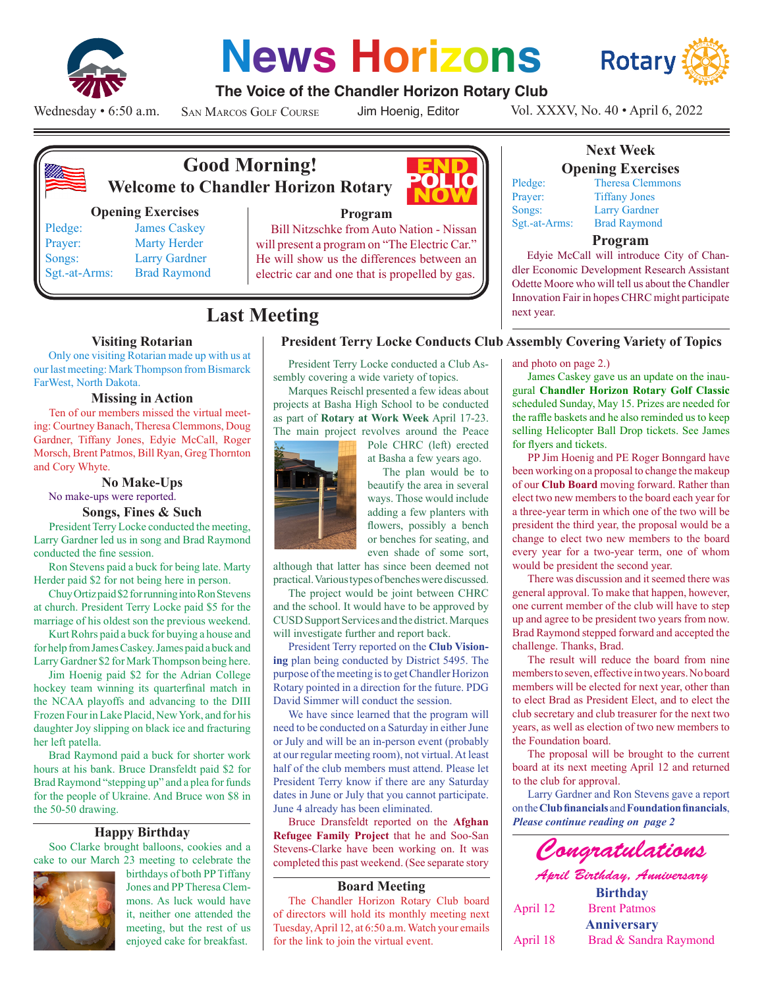

# **News Horizons**



#### **The Voice of the Chandler Horizon Rotary Club**

Wednesday • 6:50 a.m.

San Marcos Golf Course

Jim Hoenig, Editor

POI

Vol. XXXV, No. 40 • April 6, 2022



# **Good Morning! Welcome to Chandler Horizon Rotary**

#### **Opening Exercises**

Sgt.-at-Arms: Brad Raymond

Pledge: James Caskey Prayer: Marty Herder Songs: Larry Gardner



#### **Program**

Bill Nitzschke from Auto Nation - Nissan will present a program on "The Electric Car." He will show us the differences between an electric car and one that is propelled by gas.

## **Last Meeting**

#### **Visiting Rotarian**

Only one visiting Rotarian made up with us at our last meeting: Mark Thompson from Bismarck FarWest, North Dakota.

#### **Missing in Action**

Ten of our members missed the virtual meeting: Courtney Banach, Theresa Clemmons, Doug Gardner, Tiffany Jones, Edyie McCall, Roger Morsch, Brent Patmos, Bill Ryan, Greg Thornton and Cory Whyte.

#### **No Make-Ups**

No make-ups were reported.

#### **Songs, Fines & Such**

President Terry Locke conducted the meeting, Larry Gardner led us in song and Brad Raymond conducted the fine session.

Ron Stevens paid a buck for being late. Marty Herder paid \$2 for not being here in person.

Chuy Ortiz paid \$2 for running into Ron Stevens at church. President Terry Locke paid \$5 for the marriage of his oldest son the previous weekend.

Kurt Rohrs paid a buck for buying a house and for help from James Caskey. James paid a buck and Larry Gardner \$2 for Mark Thompson being here.

Jim Hoenig paid \$2 for the Adrian College hockey team winning its quarterfinal match in the NCAA playoffs and advancing to the DIII Frozen Four in Lake Placid, New York, and for his daughter Joy slipping on black ice and fracturing her left patella.

Brad Raymond paid a buck for shorter work hours at his bank. Bruce Dransfeldt paid \$2 for Brad Raymond "stepping up" and a plea for funds for the people of Ukraine. And Bruce won \$8 in the 50-50 drawing.

#### **Happy Birthday**

Soo Clarke brought balloons, cookies and a cake to our March 23 meeting to celebrate the



birthdays of both PP Tiffany Jones and PP Theresa Clemmons. As luck would have it, neither one attended the meeting, but the rest of us enjoyed cake for breakfast.

#### **President Terry Locke Conducts Club Assembly Covering Variety of Topics**

President Terry Locke conducted a Club Assembly covering a wide variety of topics.

Marques Reischl presented a few ideas about projects at Basha High School to be conducted as part of **Rotary at Work Week** April 17-23. The main project revolves around the Peace

Pole CHRC (left) erected at Basha a few years ago.

The plan would be to beautify the area in several ways. Those would include adding a few planters with flowers, possibly a bench or benches for seating, and even shade of some sort,

although that latter has since been deemed not practical. Various types of benches were discussed.

The project would be joint between CHRC and the school. It would have to be approved by CUSD Support Services and the district. Marques will investigate further and report back.

President Terry reported on the **Club Visioning** plan being conducted by District 5495. The purpose of the meeting is to get Chandler Horizon Rotary pointed in a direction for the future. PDG David Simmer will conduct the session.

We have since learned that the program will need to be conducted on a Saturday in either June or July and will be an in-person event (probably at our regular meeting room), not virtual. At least half of the club members must attend. Please let President Terry know if there are any Saturday dates in June or July that you cannot participate. June 4 already has been eliminated.

Bruce Dransfeldt reported on the **Afghan Refugee Family Project** that he and Soo-San Stevens-Clarke have been working on. It was completed this past weekend. (See separate story

#### **Board Meeting**

The Chandler Horizon Rotary Club board of directors will hold its monthly meeting next Tuesday, April 12, at 6:50 a.m. Watch your emails for the link to join the virtual event.



#### **Next Week Opening Exercises**

Pledge: Theresa Clemmons

Prayer: Tiffany Jones Songs: Larry Gardner Sgt.-at-Arms: Brad Raymond

#### **Program**

Edyie McCall will introduce City of Chandler Economic Development Research Assistant Odette Moore who will tell us about the Chandler Innovation Fair in hopes CHRC might participate next year.

and photo on page 2.)

James Caskey gave us an update on the inaugural **Chandler Horizon Rotary Golf Classic**  scheduled Sunday, May 15. Prizes are needed for the raffle baskets and he also reminded us to keep selling Helicopter Ball Drop tickets. See James for flyers and tickets.

PP Jim Hoenig and PE Roger Bonngard have been working on a proposal to change the makeup of our **Club Board** moving forward. Rather than elect two new members to the board each year for a three-year term in which one of the two will be president the third year, the proposal would be a change to elect two new members to the board every year for a two-year term, one of whom would be president the second year.

There was discussion and it seemed there was general approval. To make that happen, however, one current member of the club will have to step up and agree to be president two years from now. Brad Raymond stepped forward and accepted the challenge. Thanks, Brad.

The result will reduce the board from nine members to seven, effective in two years. No board members will be elected for next year, other than to elect Brad as President Elect, and to elect the club secretary and club treasurer for the next two years, as well as election of two new members to the Foundation board.

The proposal will be brought to the current board at its next meeting April 12 and returned to the club for approval.

*Please continue reading on page 2* Larry Gardner and Ron Stevens gave a report on the **Club financials** and **Foundation financials**,



*April Birthday, Anniversary* **Birthday** April 12 Brent Patmos **Anniversary** April 18 Brad & Sandra Raymond